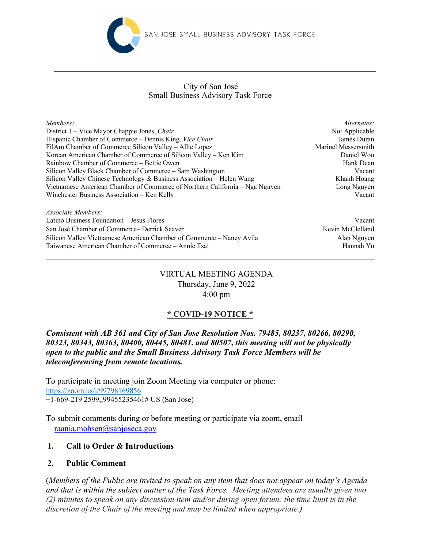

#### Small Business Advisory Task Force City of San José

| Members:                                                                    | Alternates:         |
|-----------------------------------------------------------------------------|---------------------|
| District 1 – Vice Mayor Chappie Jones, Chair                                | Not Applicable      |
| Hispanic Chamber of Commerce – Dennis King, Vice Chair                      | James Duran         |
| FilAm Chamber of Commerce Silicon Valley – Allie Lopez                      | Marinel Messersmith |
| Korean American Chamber of Commerce of Silicon Valley - Ken Kim             | Daniel Woo          |
| Rainbow Chamber of Commerce – Bettie Owen                                   | Hank Dean           |
| Silicon Valley Black Chamber of Commerce – Sam Washington                   | Vacant              |
| Silicon Valley Chinese Technology & Business Association – Helen Wang       | Khanh Hoang         |
| Vietnamese American Chamber of Commerce of Northern California – Nga Nguyen | Long Nguyen         |
| Winchester Business Association - Ken Kelly                                 | Vacant              |
|                                                                             |                     |
|                                                                             |                     |

*Associate Members:*  Latino Business Foundation – Jesus Flores Vacant San José Chamber of Commerce– Derrick Seaver Kevin McClelland Silicon Valley Vietnamese American Chamber of Commerce – Nancy Avila Alan Nguyen Taiwanese American Chamber of Commerce – Annie Tsai Hannah Yu

## VIRTUAL MEETING AGENDA Thursday, June 9, 2022 4:00 pm

# **\* COVID-19 NOTICE \***

*Consistent with AB 361 and City of San Jose Resolution Nos. 79485, 80237, 80266, 80290, 80323, 80343, 80363, 80400, 80445, 80481***,** *and 80507***,** *this meeting will not be physically open to the public and the Small Business Advisory Task Force Members will be teleconferencing from remote locations.*

To participate in meeting join Zoom Meeting via computer or phone: https://zoom.us/j/99798169856 +1-669-219 2599,,99455235461# US (San Jose)

To submit comments during or before meeting or participate via zoom, email raania.mohsen@sanjoseca.gov

## **1. Call to Order & Introductions**

## **2. Public Comment**

(*Members of the Public are invited to speak on any item that does not appear on today's Agenda and that is within the subject matter of the Task Force. Meeting attendees are usually given two (2) minutes to speak on any discussion item and/or during open forum; the time limit is in the discretion of the Chair of the meeting and may be limited when appropriate.)*